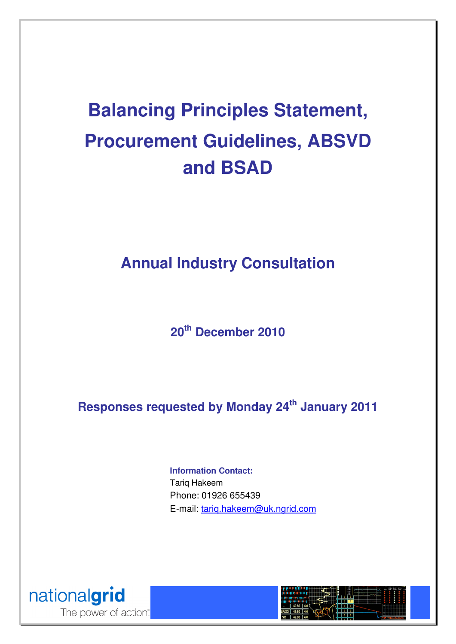# **Balancing Principles Statement, Procurement Guidelines, ABSVD and BSAD**

**Annual Industry Consultation** 

**20th December 2010** 

**Responses requested by Monday 24th January 2011** 

**Information Contact:**  Tariq Hakeem Phone: 01926 655439 E-mail: tariq.hakeem@uk.ngrid.com



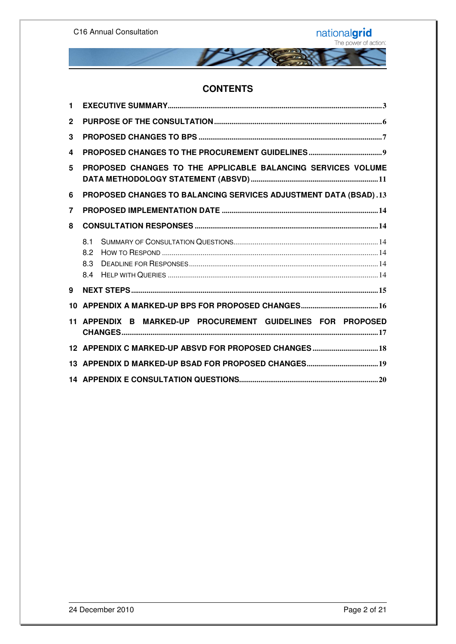

#### **CONTENTS**

| 1              |                                                                  |  |  |
|----------------|------------------------------------------------------------------|--|--|
| $\overline{2}$ |                                                                  |  |  |
| 3              |                                                                  |  |  |
| 4              |                                                                  |  |  |
| 5              | PROPOSED CHANGES TO THE APPLICABLE BALANCING SERVICES VOLUME     |  |  |
| 6              | PROPOSED CHANGES TO BALANCING SERVICES ADJUSTMENT DATA (BSAD).13 |  |  |
| 7              |                                                                  |  |  |
| 8              |                                                                  |  |  |
|                | 8.1<br>8.2<br>8.3<br>8.4                                         |  |  |
| 9              |                                                                  |  |  |
| 10             |                                                                  |  |  |
| 11             | APPENDIX B MARKED-UP PROCUREMENT GUIDELINES FOR PROPOSED         |  |  |
|                | 12 APPENDIX C MARKED-UP ABSVD FOR PROPOSED CHANGES 18            |  |  |
|                |                                                                  |  |  |
|                |                                                                  |  |  |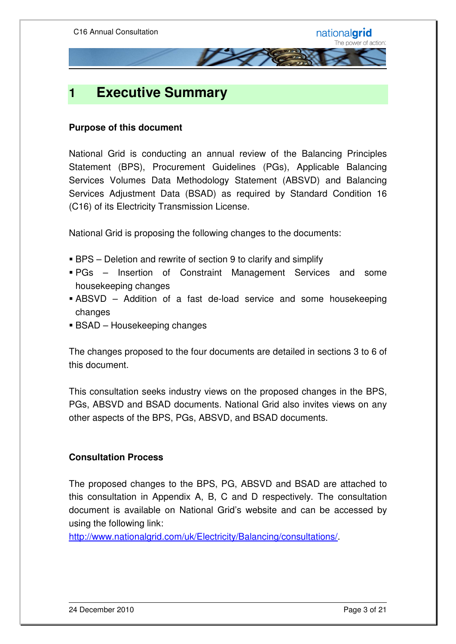

### **1 Executive Summary**

#### **Purpose of this document**

National Grid is conducting an annual review of the Balancing Principles Statement (BPS), Procurement Guidelines (PGs), Applicable Balancing Services Volumes Data Methodology Statement (ABSVD) and Balancing Services Adjustment Data (BSAD) as required by Standard Condition 16 (C16) of its Electricity Transmission License.

National Grid is proposing the following changes to the documents:

- BPS Deletion and rewrite of section 9 to clarify and simplify
- PGs Insertion of Constraint Management Services and some housekeeping changes
- ABSVD Addition of a fast de-load service and some housekeeping changes
- BSAD Housekeeping changes

The changes proposed to the four documents are detailed in sections 3 to 6 of this document.

This consultation seeks industry views on the proposed changes in the BPS, PGs, ABSVD and BSAD documents. National Grid also invites views on any other aspects of the BPS, PGs, ABSVD, and BSAD documents.

#### **Consultation Process**

The proposed changes to the BPS, PG, ABSVD and BSAD are attached to this consultation in Appendix A, B, C and D respectively. The consultation document is available on National Grid's website and can be accessed by using the following link:

http://www.nationalgrid.com/uk/Electricity/Balancing/consultations/.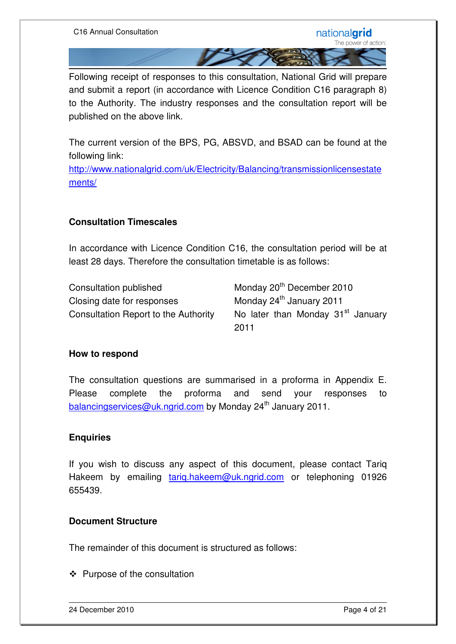Following receipt of responses to this consultation, National Grid will prepare and submit a report (in accordance with Licence Condition C16 paragraph 8) to the Authority. The industry responses and the consultation report will be published on the above link.

The current version of the BPS, PG, ABSVD, and BSAD can be found at the following link:

http://www.nationalgrid.com/uk/Electricity/Balancing/transmissionlicensestate ments/

#### **Consultation Timescales**

In accordance with Licence Condition C16, the consultation period will be at least 28 days. Therefore the consultation timetable is as follows:

Consultation published Monday 20<sup>th</sup> December 2010 Closing date for responses Monday 24<sup>th</sup> January 2011

Consultation Report to the Authority No later than Monday 31<sup>st</sup> January 2011

#### **How to respond**

The consultation questions are summarised in a proforma in Appendix E. Please complete the proforma and send your responses to balancingservices@uk.ngrid.com by Monday 24<sup>th</sup> January 2011.

#### **Enquiries**

If you wish to discuss any aspect of this document, please contact Tariq Hakeem by emailing tarig.hakeem@uk.ngrid.com or telephoning 01926 655439.

#### **Document Structure**

The remainder of this document is structured as follows:

- Purpose of the consultation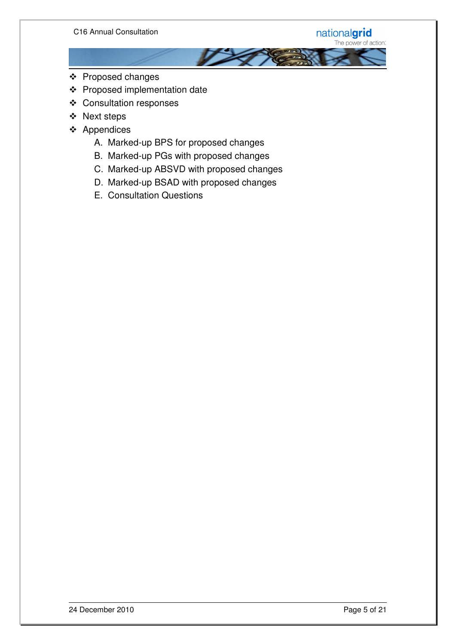



- Proposed changes
- Proposed implementation date
- Consultation responses
- Next steps
- Appendices
	- A. Marked-up BPS for proposed changes
	- B. Marked-up PGs with proposed changes
	- C. Marked-up ABSVD with proposed changes
	- D. Marked-up BSAD with proposed changes
	- E. Consultation Questions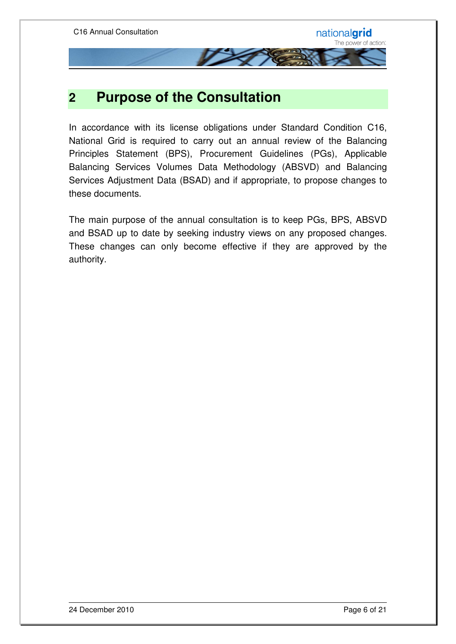### **2 Purpose of the Consultation**

In accordance with its license obligations under Standard Condition C16, National Grid is required to carry out an annual review of the Balancing Principles Statement (BPS), Procurement Guidelines (PGs), Applicable Balancing Services Volumes Data Methodology (ABSVD) and Balancing Services Adjustment Data (BSAD) and if appropriate, to propose changes to these documents.

The main purpose of the annual consultation is to keep PGs, BPS, ABSVD and BSAD up to date by seeking industry views on any proposed changes. These changes can only become effective if they are approved by the authority.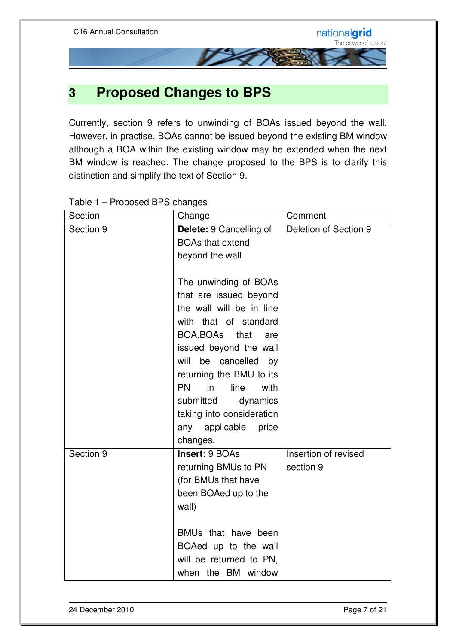

### **3 Proposed Changes to BPS**

Currently, section 9 refers to unwinding of BOAs issued beyond the wall. However, in practise, BOAs cannot be issued beyond the existing BM window although a BOA within the existing window may be extended when the next BM window is reached. The change proposed to the BPS is to clarify this distinction and simplify the text of Section 9.

| Section   | Change                                                                                                                                                                                                                                                                                           |                                   |
|-----------|--------------------------------------------------------------------------------------------------------------------------------------------------------------------------------------------------------------------------------------------------------------------------------------------------|-----------------------------------|
| Section 9 | Delete: 9 Cancelling of<br><b>BOAs that extend</b><br>beyond the wall<br>The unwinding of BOAs<br>that are issued beyond                                                                                                                                                                         | Deletion of Section 9             |
|           | the wall will be in line<br>with that of standard<br>BOA.BOAs<br>that<br>are<br>issued beyond the wall<br>will<br>be cancelled<br>by<br>returning the BMU to its<br><b>PN</b><br>in<br>line<br>with<br>submitted<br>dynamics<br>taking into consideration<br>any applicable<br>price<br>changes. |                                   |
| Section 9 | Insert: 9 BOAs<br>returning BMUs to PN<br>(for BMUs that have<br>been BOAed up to the<br>wall)<br>BMUs that have been<br>BOAed up to the wall<br>will be returned to PN,<br>when the BM window                                                                                                   | Insertion of revised<br>section 9 |

#### Table 1 – Proposed BPS changes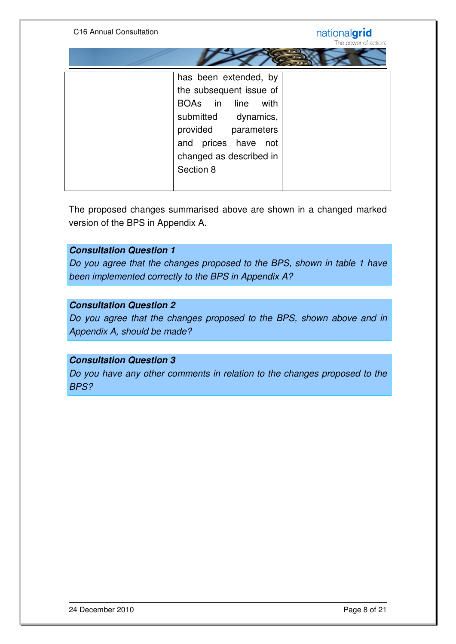

The proposed changes summarised above are shown in a changed marked version of the BPS in Appendix A.

#### **Consultation Question 1**

Do you agree that the changes proposed to the BPS, shown in table 1 have been implemented correctly to the BPS in Appendix A?

#### **Consultation Question 2**

Do you agree that the changes proposed to the BPS, shown above and in Appendix A, should be made?

#### **Consultation Question 3**

Do you have any other comments in relation to the changes proposed to the BPS?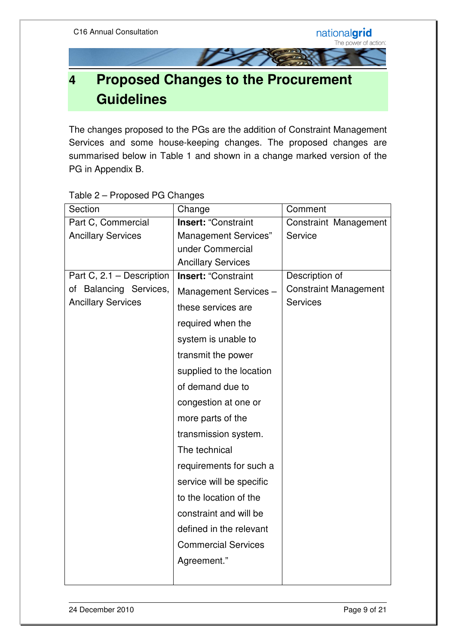# **4 Proposed Changes to the Procurement Guidelines**

The changes proposed to the PGs are the addition of Constraint Management Services and some house-keeping changes. The proposed changes are summarised below in Table 1 and shown in a change marked version of the PG in Appendix B.

| Section                   | Change                      | Comment                      |  |
|---------------------------|-----------------------------|------------------------------|--|
| Part C, Commercial        | <b>Insert: "Constraint</b>  | Constraint Management        |  |
| <b>Ancillary Services</b> | <b>Management Services"</b> | Service                      |  |
|                           | under Commercial            |                              |  |
|                           | <b>Ancillary Services</b>   |                              |  |
| Part C, 2.1 - Description | <b>Insert: "Constraint</b>  | Description of               |  |
| of Balancing Services,    | Management Services-        | <b>Constraint Management</b> |  |
| <b>Ancillary Services</b> | these services are          | <b>Services</b>              |  |
|                           | required when the           |                              |  |
|                           | system is unable to         |                              |  |
|                           | transmit the power          |                              |  |
|                           | supplied to the location    |                              |  |
|                           | of demand due to            |                              |  |
|                           | congestion at one or        |                              |  |
|                           | more parts of the           |                              |  |
|                           | transmission system.        |                              |  |
|                           | The technical               |                              |  |
|                           | requirements for such a     |                              |  |
|                           | service will be specific    |                              |  |
|                           | to the location of the      |                              |  |
|                           | constraint and will be      |                              |  |
|                           | defined in the relevant     |                              |  |
|                           | <b>Commercial Services</b>  |                              |  |
|                           | Agreement."                 |                              |  |
|                           |                             |                              |  |

#### Table 2 – Proposed PG Changes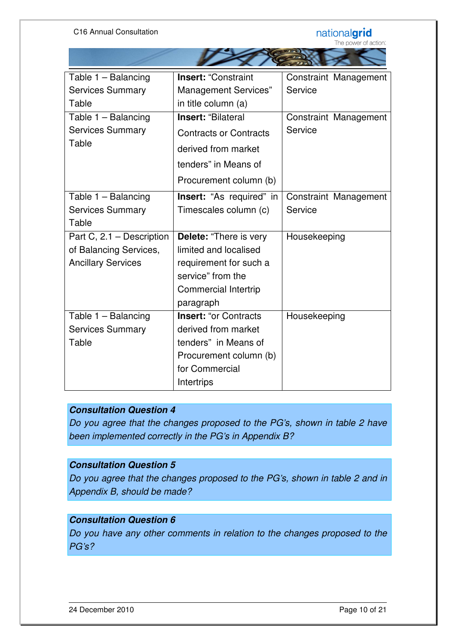#### nationalgrid

 $\sqrt{2}$ 

The power of action.

| Table 1 - Balancing       | <b>Insert: "Constraint</b>    | Constraint Management |  |  |
|---------------------------|-------------------------------|-----------------------|--|--|
| <b>Services Summary</b>   | <b>Management Services"</b>   | Service               |  |  |
| Table                     | in title column (a)           |                       |  |  |
| Table $1 -$ Balancing     | <b>Insert: "Bilateral</b>     | Constraint Management |  |  |
| <b>Services Summary</b>   | <b>Contracts or Contracts</b> | Service               |  |  |
| Table                     | derived from market           |                       |  |  |
|                           | tenders" in Means of          |                       |  |  |
|                           | Procurement column (b)        |                       |  |  |
| Table 1 - Balancing       | Insert: "As required" in      | Constraint Management |  |  |
| <b>Services Summary</b>   | Timescales column (c)         | Service               |  |  |
| Table                     |                               |                       |  |  |
| Part C, 2.1 - Description | Delete: "There is very        | Housekeeping          |  |  |
| of Balancing Services,    | limited and localised         |                       |  |  |
| <b>Ancillary Services</b> | requirement for such a        |                       |  |  |
|                           | service" from the             |                       |  |  |
|                           | Commercial Intertrip          |                       |  |  |
|                           | paragraph                     |                       |  |  |
| Table 1 - Balancing       | <b>Insert: "or Contracts</b>  | Housekeeping          |  |  |
| <b>Services Summary</b>   | derived from market           |                       |  |  |
| Table                     | tenders" in Means of          |                       |  |  |
|                           | Procurement column (b)        |                       |  |  |
|                           | for Commercial                |                       |  |  |
|                           | Intertrips                    |                       |  |  |

M

#### **Consultation Question 4**

Do you agree that the changes proposed to the PG's, shown in table 2 have been implemented correctly in the PG's in Appendix B?

#### **Consultation Question 5**

Do you agree that the changes proposed to the PG's, shown in table 2 and in Appendix B, should be made?

#### **Consultation Question 6**

Do you have any other comments in relation to the changes proposed to the PG's?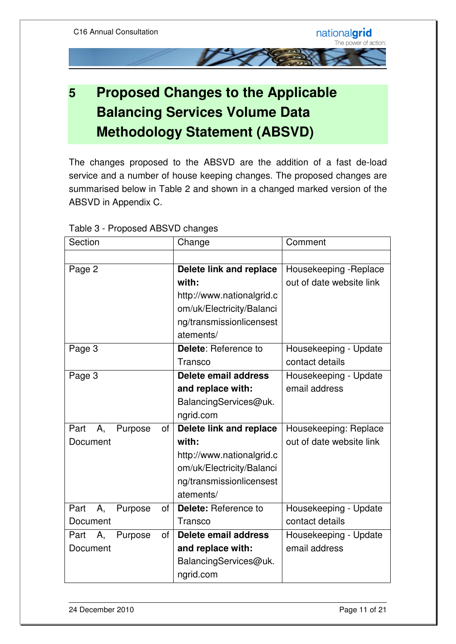

# **5 Proposed Changes to the Applicable Balancing Services Volume Data Methodology Statement (ABSVD)**

The changes proposed to the ABSVD are the addition of a fast de-load service and a number of house keeping changes. The proposed changes are summarised below in Table 2 and shown in a changed marked version of the ABSVD in Appendix C.

| Section                     | Change                    | Comment                  |  |
|-----------------------------|---------------------------|--------------------------|--|
|                             |                           |                          |  |
| Page 2                      | Delete link and replace   | Housekeeping - Replace   |  |
|                             | with:                     | out of date website link |  |
|                             | http://www.nationalgrid.c |                          |  |
|                             | om/uk/Electricity/Balanci |                          |  |
|                             | ng/transmissionlicensest  |                          |  |
|                             | atements/                 |                          |  |
| Page 3                      | Delete: Reference to      | Housekeeping - Update    |  |
|                             | Transco                   | contact details          |  |
| Page 3                      | Delete email address      | Housekeeping - Update    |  |
|                             | and replace with:         | email address            |  |
|                             | BalancingServices@uk.     |                          |  |
|                             | ngrid.com                 |                          |  |
| Part<br>A,<br>Purpose<br>of | Delete link and replace   | Housekeeping: Replace    |  |
| Document                    | with:                     | out of date website link |  |
|                             | http://www.nationalgrid.c |                          |  |
|                             | om/uk/Electricity/Balanci |                          |  |
|                             | ng/transmissionlicensest  |                          |  |
|                             | atements/                 |                          |  |
| Part<br>Α,<br>Purpose<br>οf | Delete: Reference to      | Housekeeping - Update    |  |
| Document                    | Transco                   | contact details          |  |
| Α,<br>of<br>Part<br>Purpose | Delete email address      | Housekeeping - Update    |  |
| Document                    | and replace with:         | email address            |  |
|                             | BalancingServices@uk.     |                          |  |
|                             | ngrid.com                 |                          |  |

Table 3 - Proposed ABSVD changes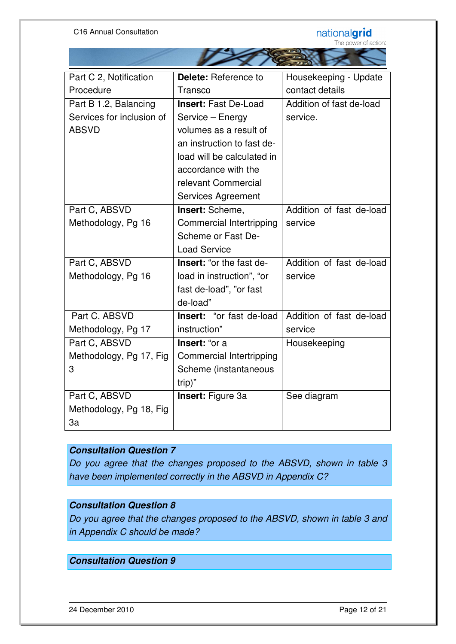#### nationalgrid

C16 Annual Consultation

The power of action.

| Part C 2, Notification    | Delete: Reference to            | Housekeeping - Update    |  |  |  |
|---------------------------|---------------------------------|--------------------------|--|--|--|
| Procedure                 | Transco                         | contact details          |  |  |  |
| Part B 1.2, Balancing     | <b>Insert: Fast De-Load</b>     | Addition of fast de-load |  |  |  |
| Services for inclusion of | Service - Energy                | service.                 |  |  |  |
| <b>ABSVD</b>              | volumes as a result of          |                          |  |  |  |
|                           | an instruction to fast de-      |                          |  |  |  |
|                           | load will be calculated in      |                          |  |  |  |
|                           | accordance with the             |                          |  |  |  |
|                           | relevant Commercial             |                          |  |  |  |
|                           | <b>Services Agreement</b>       |                          |  |  |  |
| Part C, ABSVD             | Insert: Scheme,                 | Addition of fast de-load |  |  |  |
| Methodology, Pg 16        | Commercial Intertripping        | service                  |  |  |  |
|                           | Scheme or Fast De-              |                          |  |  |  |
|                           | <b>Load Service</b>             |                          |  |  |  |
| Part C, ABSVD             | <b>Insert:</b> "or the fast de- | Addition of fast de-load |  |  |  |
| Methodology, Pg 16        | load in instruction", "or       | service                  |  |  |  |
|                           | fast de-load", "or fast         |                          |  |  |  |
|                           | de-load"                        |                          |  |  |  |
| Part C, ABSVD             | <b>Insert:</b> "or fast de-load | Addition of fast de-load |  |  |  |
| Methodology, Pg 17        | instruction"                    | service                  |  |  |  |
| Part C, ABSVD             | Insert: "or a                   | Housekeeping             |  |  |  |
| Methodology, Pg 17, Fig   | Commercial Intertripping        |                          |  |  |  |
| 3                         | Scheme (instantaneous           |                          |  |  |  |
|                           | trip)"                          |                          |  |  |  |
| Part C, ABSVD             | Insert: Figure 3a               | See diagram              |  |  |  |
| Methodology, Pg 18, Fig   |                                 |                          |  |  |  |
| 3a                        |                                 |                          |  |  |  |

**The Communication** 

#### **Consultation Question 7**

Do you agree that the changes proposed to the ABSVD, shown in table 3 have been implemented correctly in the ABSVD in Appendix C?

#### **Consultation Question 8**

Do you agree that the changes proposed to the ABSVD, shown in table 3 and in Appendix C should be made?

**Consultation Question 9**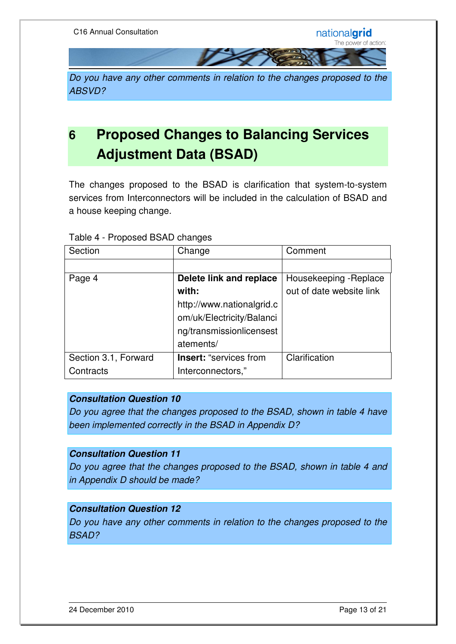Do you have any other comments in relation to the changes proposed to the ABSVD?

# **6 Proposed Changes to Balancing Services Adjustment Data (BSAD)**

The changes proposed to the BSAD is clarification that system-to-system services from Interconnectors will be included in the calculation of BSAD and a house keeping change.

| Section              | Change                        | Comment                  |
|----------------------|-------------------------------|--------------------------|
|                      |                               |                          |
| Page 4               | Delete link and replace       | Housekeeping - Replace   |
|                      | with:                         | out of date website link |
|                      | http://www.nationalgrid.c     |                          |
|                      | om/uk/Electricity/Balanci     |                          |
|                      | ng/transmissionlicensest      |                          |
|                      | atements/                     |                          |
| Section 3.1, Forward | <b>Insert: "services from</b> | Clarification            |
| Contracts            | Interconnectors,"             |                          |

#### Table 4 - Proposed BSAD changes

#### **Consultation Question 10**

Do you agree that the changes proposed to the BSAD, shown in table 4 have been implemented correctly in the BSAD in Appendix D?

#### **Consultation Question 11**

Do you agree that the changes proposed to the BSAD, shown in table 4 and in Appendix D should be made?

#### **Consultation Question 12**

Do you have any other comments in relation to the changes proposed to the BSAD?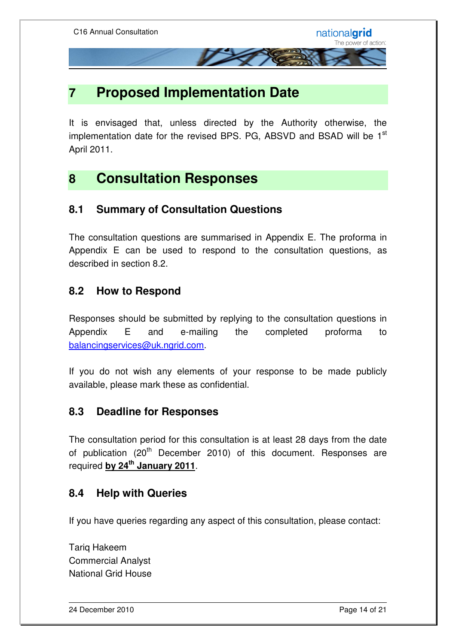### **7 Proposed Implementation Date**

It is envisaged that, unless directed by the Authority otherwise, the implementation date for the revised BPS. PG, ABSVD and BSAD will be 1<sup>st</sup> April 2011.

### **8 Consultation Responses**

#### **8.1 Summary of Consultation Questions**

The consultation questions are summarised in Appendix E. The proforma in Appendix E can be used to respond to the consultation questions, as described in section 8.2.

#### **8.2 How to Respond**

Responses should be submitted by replying to the consultation questions in Appendix E and e-mailing the completed proforma to balancingservices@uk.ngrid.com.

If you do not wish any elements of your response to be made publicly available, please mark these as confidential.

#### **8.3 Deadline for Responses**

The consultation period for this consultation is at least 28 days from the date of publication (20<sup>th</sup> December 2010) of this document. Responses are required **by 24th January 2011**.

#### **8.4 Help with Queries**

If you have queries regarding any aspect of this consultation, please contact:

Tariq Hakeem Commercial Analyst National Grid House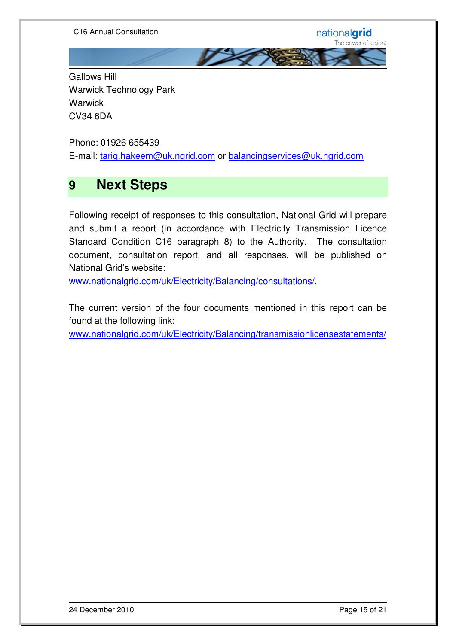nationalgrid The power of action.

Gallows Hill Warwick Technology Park **Warwick** CV34 6DA

Phone: 01926 655439 E-mail: tariq.hakeem@uk.ngrid.com or balancingservices@uk.ngrid.com

## **9 Next Steps**

Following receipt of responses to this consultation, National Grid will prepare and submit a report (in accordance with Electricity Transmission Licence Standard Condition C16 paragraph 8) to the Authority. The consultation document, consultation report, and all responses, will be published on National Grid's website:

www.nationalgrid.com/uk/Electricity/Balancing/consultations/.

The current version of the four documents mentioned in this report can be found at the following link:

www.nationalgrid.com/uk/Electricity/Balancing/transmissionlicensestatements/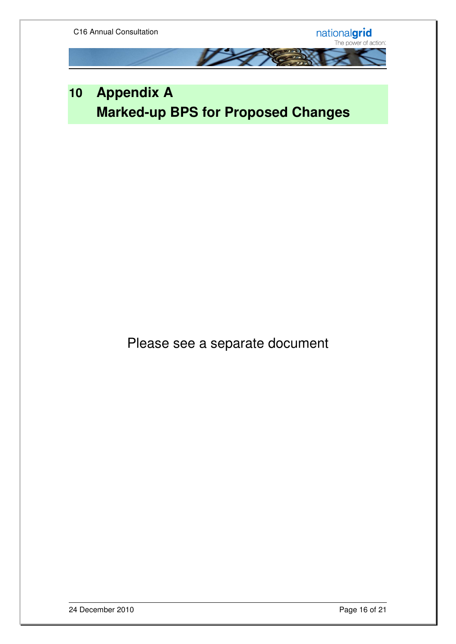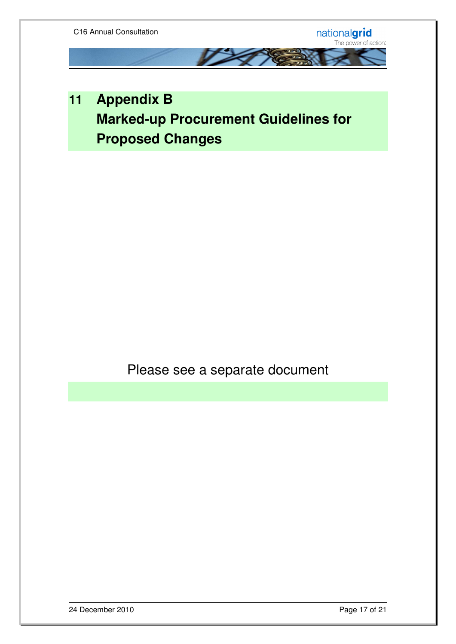

**Proposed Changes** 

Please see a separate document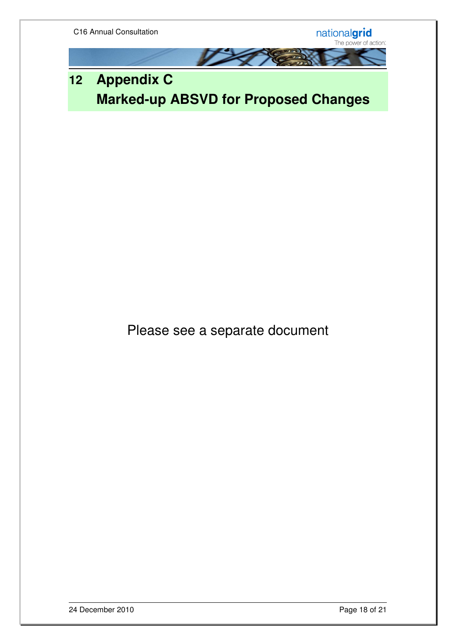nationalgrid<br>The power of action:



# **12 Appendix C Marked-up ABSVD for Proposed Changes**

Please see a separate document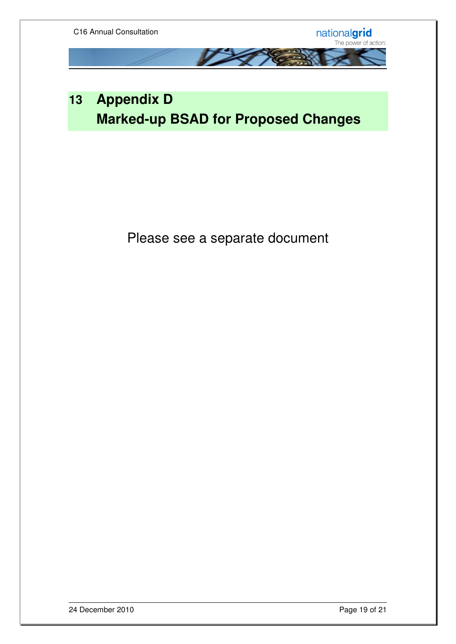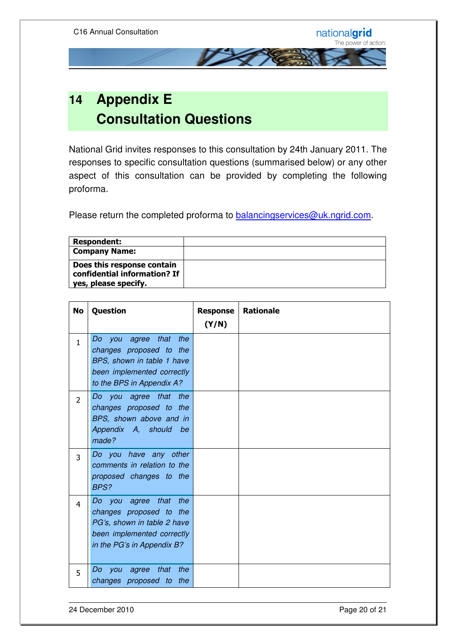

# **14 Appendix E Consultation Questions**

National Grid invites responses to this consultation by 24th January 2011. The responses to specific consultation questions (summarised below) or any other aspect of this consultation can be provided by completing the following proforma.

Please return the completed proforma to **balancingservices@uk.ngrid.com.** 

| <b>Respondent:</b>                                                                 |  |
|------------------------------------------------------------------------------------|--|
| <b>Company Name:</b>                                                               |  |
| Does this response contain<br>confidential information? If<br>yes, please specify. |  |

| <b>No</b>      | Question                                                  | <b>Response</b> | <b>Rationale</b> |
|----------------|-----------------------------------------------------------|-----------------|------------------|
|                |                                                           | (Y/N)           |                  |
| $\mathbf{1}$   | that<br>the<br>Do you<br>agree                            |                 |                  |
|                | changes proposed to the                                   |                 |                  |
|                | BPS, shown in table 1 have<br>been implemented correctly  |                 |                  |
|                | to the BPS in Appendix A?                                 |                 |                  |
| $\overline{2}$ | Do you agree that the                                     |                 |                  |
|                | changes proposed to the                                   |                 |                  |
|                | BPS, shown above and in<br>Appendix A, should be          |                 |                  |
|                | made?                                                     |                 |                  |
| $\overline{3}$ | Do you have any other                                     |                 |                  |
|                | comments in relation to the                               |                 |                  |
|                | proposed changes to the                                   |                 |                  |
|                | BPS?                                                      |                 |                  |
| $\overline{4}$ | Do you agree that<br>the                                  |                 |                  |
|                | changes proposed to the                                   |                 |                  |
|                | PG's, shown in table 2 have<br>been implemented correctly |                 |                  |
|                | in the PG's in Appendix B?                                |                 |                  |
|                |                                                           |                 |                  |
| 5              | the<br>that<br>Do you<br>agree                            |                 |                  |
|                | changes proposed to the                                   |                 |                  |